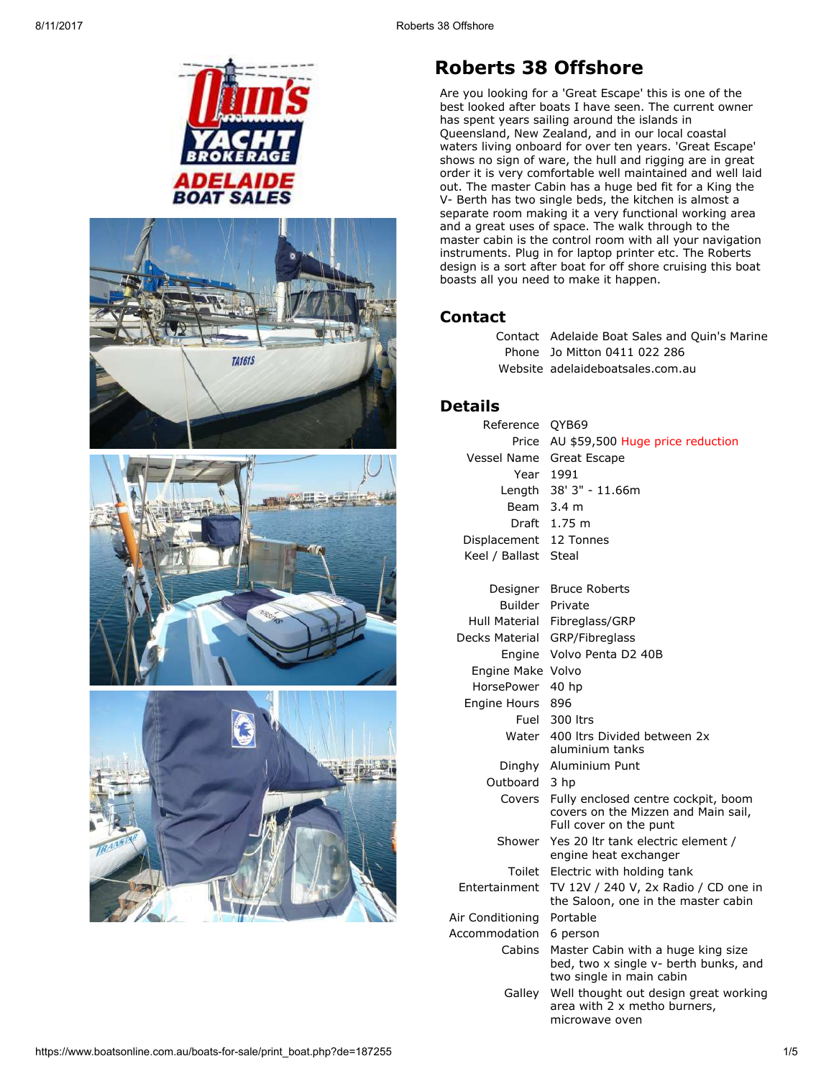

**BOAT SALES** 





## Roberts 38 Offshore

Are you looking for a 'Great Escape' this is one of the best looked after boats I have seen. The current owner has spent years sailing around the islands in Queensland, New Zealand, and in our local coastal waters living onboard for over ten years. 'Great Escape' shows no sign of ware, the hull and rigging are in great order it is very comfortable well maintained and well laid out. The master Cabin has a huge bed fit for a King the V- Berth has two single beds, the kitchen is almost a separate room making it a very functional working area and a great uses of space. The walk through to the master cabin is the control room with all your navigation instruments. Plug in for laptop printer etc. The Roberts design is a sort after boat for off shore cruising this boat boasts all you need to make it happen.

## **Contact**

|  | Contact Adelaide Boat Sales and Quin's Marine |
|--|-----------------------------------------------|
|  | Phone Jo Mitton 0411 022 286                  |
|  | Website adelaideboatsales.com.au              |

## Details

| Reference              | QYB69                                                                                                       |
|------------------------|-------------------------------------------------------------------------------------------------------------|
| Price                  | AU \$59,500 Huge price reduction                                                                            |
| Vessel Name            | Great Escape                                                                                                |
| Year                   | 1991                                                                                                        |
| Length                 | 38' 3" - 11.66m                                                                                             |
| Beam                   | 3.4 <sub>m</sub>                                                                                            |
|                        | Draft 1.75 m                                                                                                |
| Displacement 12 Tonnes |                                                                                                             |
| Keel / Ballast         | <b>Steal</b>                                                                                                |
|                        | Designer Bruce Roberts                                                                                      |
| Builder                | Private                                                                                                     |
|                        | Hull Material Fibreglass/GRP                                                                                |
| Decks Material         | GRP/Fibreglass                                                                                              |
| Engine                 | Volvo Penta D2 40B                                                                                          |
| Engine Make Volvo      |                                                                                                             |
| <b>HorsePower</b>      | 40 hp                                                                                                       |
| Engine Hours           | 896                                                                                                         |
| Fuel                   | 300 ltrs                                                                                                    |
| Water                  | 400 Itrs Divided between 2x<br>aluminium tanks                                                              |
|                        | Dinghy Aluminium Punt                                                                                       |
| Outboard 3 hp          |                                                                                                             |
|                        | Covers Fully enclosed centre cockpit, boom<br>covers on the Mizzen and Main sail,<br>Full cover on the punt |
| Shower                 | Yes 20 Itr tank electric element /<br>engine heat exchanger                                                 |
| Toilet                 | Electric with holding tank                                                                                  |
| Entertainment          | TV 12V / 240 V, 2x Radio / CD one in<br>the Saloon, one in the master cabin                                 |
| Air Conditioning       | Portable                                                                                                    |
| Accommodation          | 6 person                                                                                                    |
| Cabins                 | Master Cabin with a huge king size<br>bed, two x single v- berth bunks, and<br>two single in main cabin     |
| Galley                 | Well thought out design great working<br>area with 2 x metho burners,<br>microwave oven                     |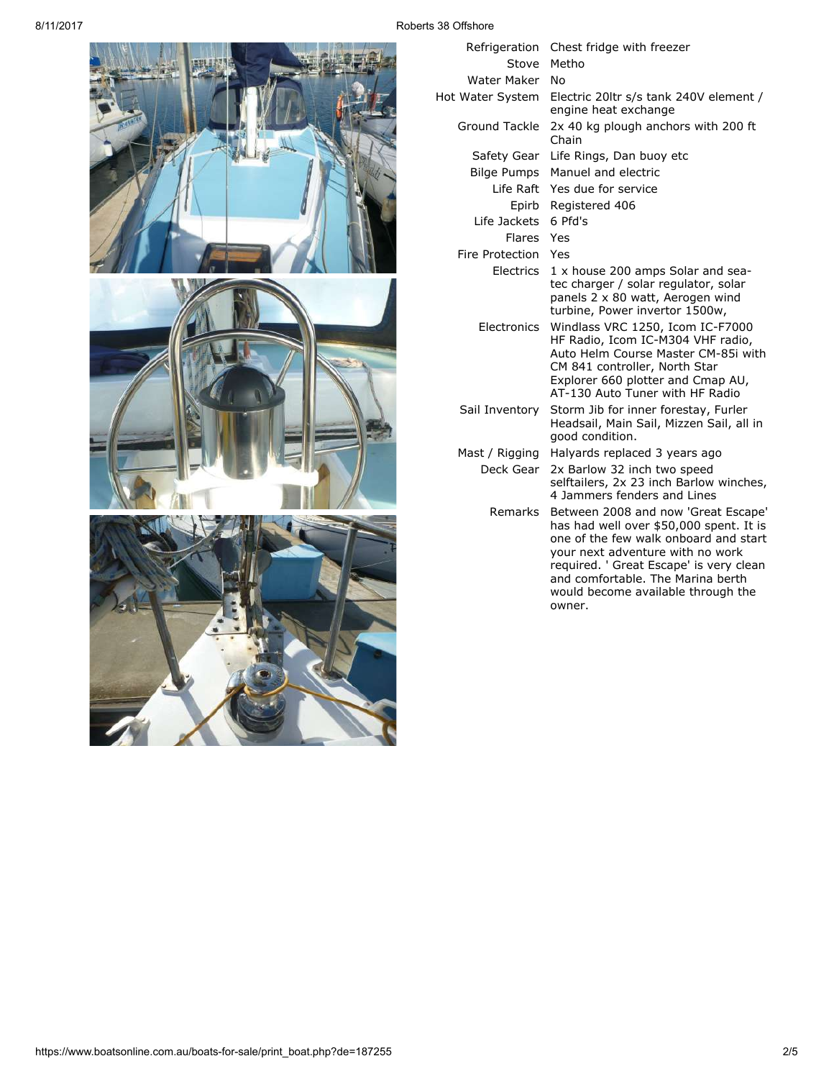

| Refrigeration        | Chest fridge with freezer                                                                                                                                                                                                                                                                   |
|----------------------|---------------------------------------------------------------------------------------------------------------------------------------------------------------------------------------------------------------------------------------------------------------------------------------------|
| Stove                | Metho                                                                                                                                                                                                                                                                                       |
| Water Maker          | No                                                                                                                                                                                                                                                                                          |
| Hot Water System     | Electric 20ltr s/s tank 240V element /<br>engine heat exchange                                                                                                                                                                                                                              |
| <b>Ground Tackle</b> | 2x 40 kg plough anchors with 200 ft<br>Chain                                                                                                                                                                                                                                                |
| Safety Gear          | Life Rings, Dan buoy etc                                                                                                                                                                                                                                                                    |
| <b>Bilge Pumps</b>   | Manuel and electric                                                                                                                                                                                                                                                                         |
| Life Raft            | Yes due for service                                                                                                                                                                                                                                                                         |
| Epirb                | Registered 406                                                                                                                                                                                                                                                                              |
| Life Jackets         | 6 Pfd's                                                                                                                                                                                                                                                                                     |
| <b>Flares</b>        | Yes                                                                                                                                                                                                                                                                                         |
| Fire Protection      | Yes                                                                                                                                                                                                                                                                                         |
| Electrics            | 1 x house 200 amps Solar and sea-<br>tec charger / solar regulator, solar                                                                                                                                                                                                                   |
|                      | panels 2 x 80 watt, Aerogen wind<br>turbine, Power invertor 1500w,                                                                                                                                                                                                                          |
| Electronics          | Windlass VRC 1250, Icom IC-F7000<br>HF Radio, Icom IC-M304 VHF radio,<br>Auto Helm Course Master CM-85i with<br>CM 841 controller, North Star<br>Explorer 660 plotter and Cmap AU,<br>AT-130 Auto Tuner with HF Radio                                                                       |
| Sail Inventory       | Storm Jib for inner forestay, Furler<br>Headsail, Main Sail, Mizzen Sail, all in<br>good condition.                                                                                                                                                                                         |
| Mast / Rigging       | Halyards replaced 3 years ago                                                                                                                                                                                                                                                               |
| Deck Gear            | 2x Barlow 32 inch two speed<br>selftailers, 2x 23 inch Barlow winches,<br>4 Jammers fenders and Lines                                                                                                                                                                                       |
| Remarks              | Between 2008 and now 'Great Escape'<br>has had well over \$50,000 spent. It is<br>one of the few walk onboard and start<br>your next adventure with no work<br>required. ' Great Escape' is very clean<br>and comfortable. The Marina berth<br>would become available through the<br>owner. |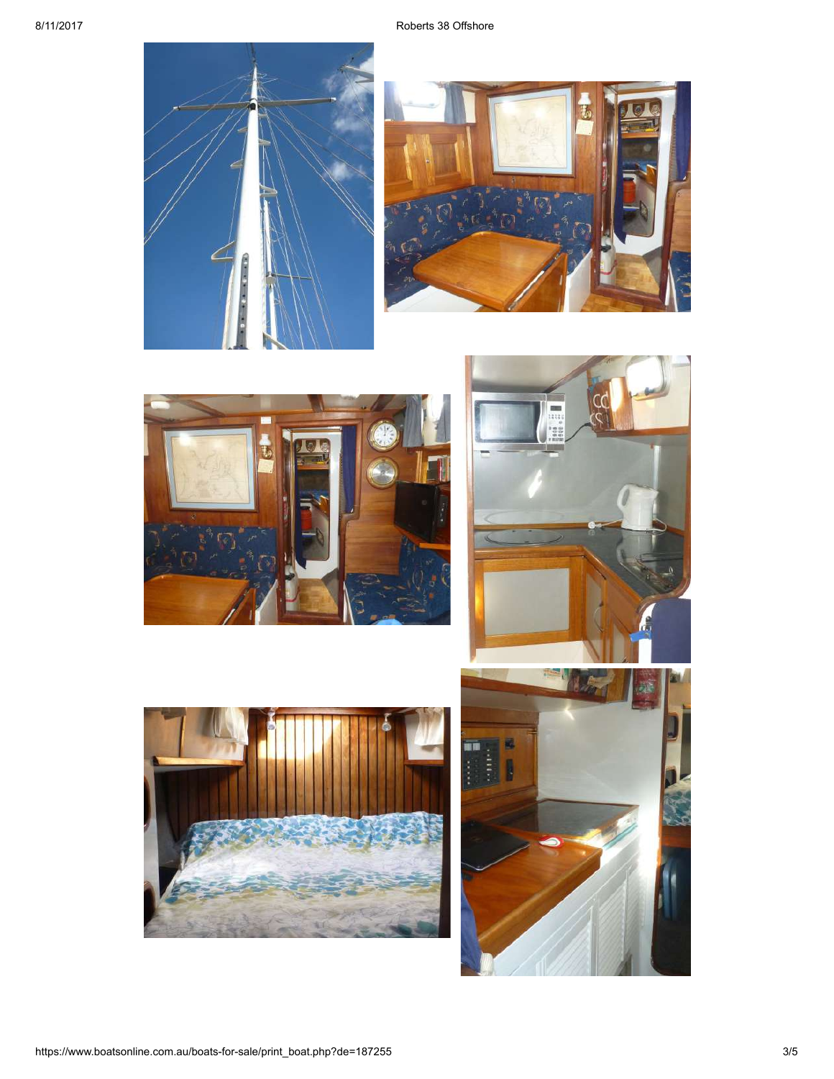









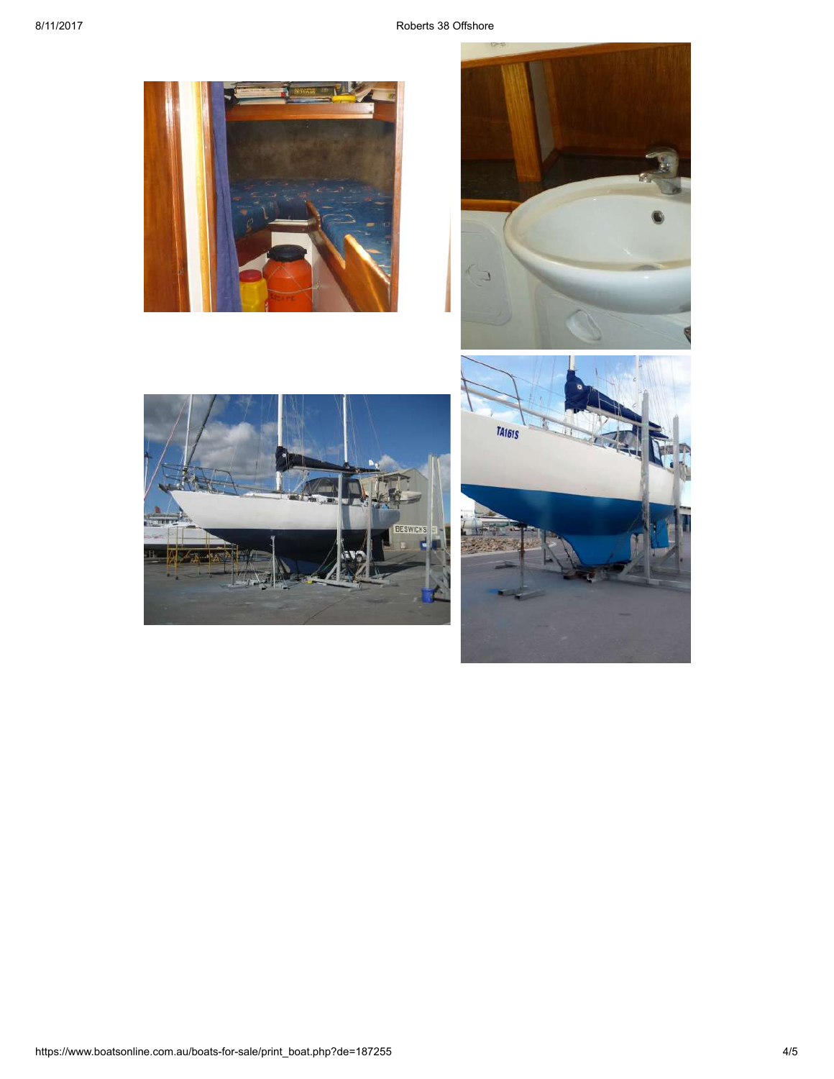